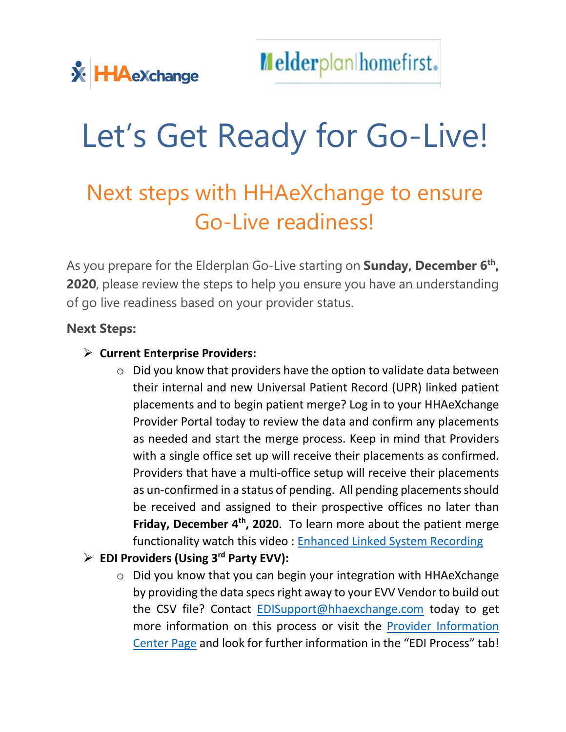# Let's Get Ready for Go-Live!

## Next steps with HHAeXchange to ensure Go-Live readiness!

As you prepare for the Elderplan Go-Live starting on **Sunday, December 6th, 2020**, please review the steps to help you ensure you have an understanding of go live readiness based on your provider status.

#### **Next Steps:**

#### **Current Enterprise Providers:**

 $\circ$  Did you know that providers have the option to validate data between their internal and new Universal Patient Record (UPR) linked patient placements and to begin patient merge? Log in to your HHAeXchange Provider Portal today to review the data and confirm any placements as needed and start the merge process. Keep in mind that Providers with a single office set up will receive their placements as confirmed. Providers that have a multi-office setup will receive their placements as un-confirmed in a status of pending. All pending placements should be received and assigned to their prospective offices no later than **Friday, December 4<sup>th</sup>, 2020**. To learn more about the patient merge functionality watch this video : [Enhanced Linked System Recording](http://hhaxsupport.s3.amazonaws.com/SupportDocs/ENTF/NY/Elderplan/Elderplan_UPR_Demo_Refresher.mp4)

#### **EDI Providers (Using 3rd Party EVV):**

o Did you know that you can begin your integration with HHAeXchange by providing the data specs right away to your EVV Vendor to build out the CSV file? Contact [EDISupport@hhaexchange.com](mailto:EDISupport@hhaexchange.com) today to get more information on this process or visit the [Provider Information](https://hhaexchange.com/elderplan/)  [Center Page](https://hhaexchange.com/elderplan/) and look for further information in the "EDI Process" tab!